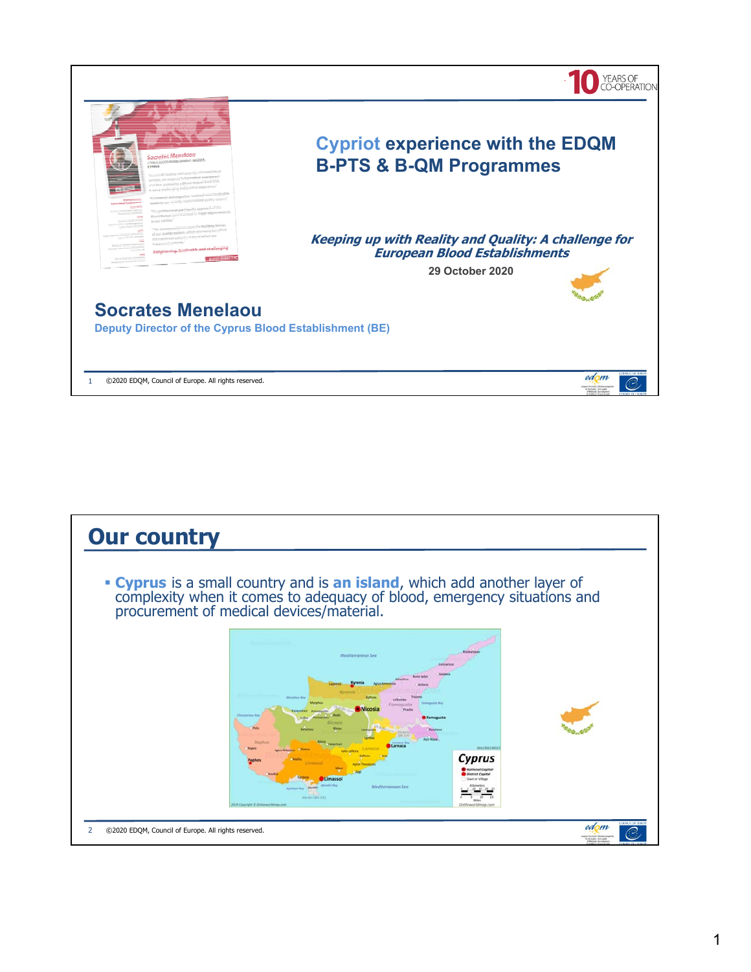

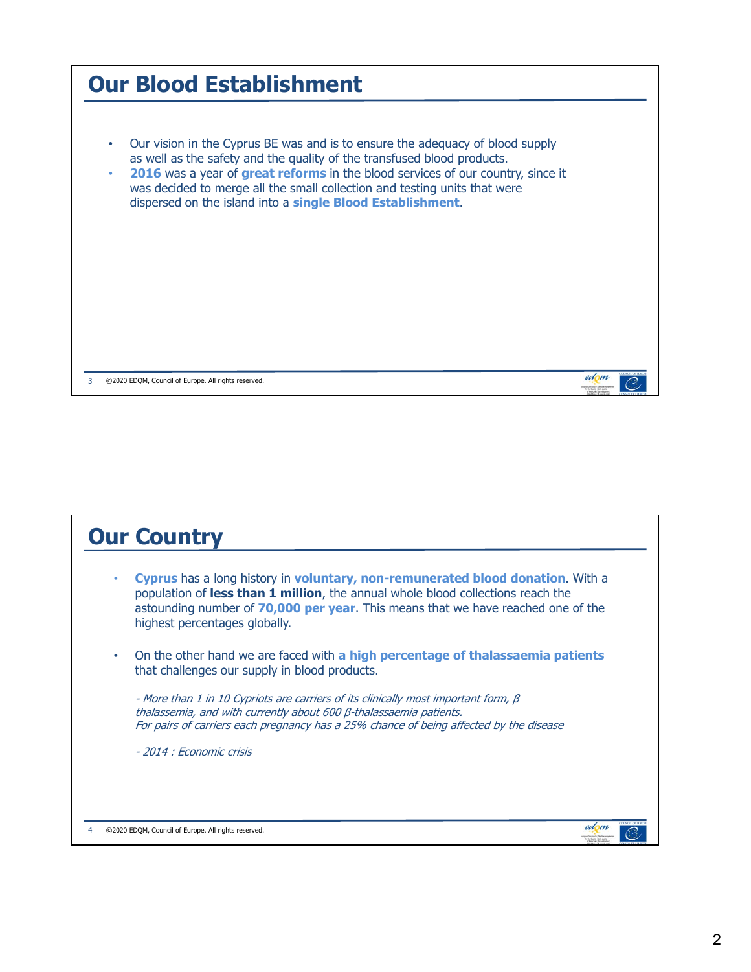| <b>Our Blood Establishment</b>                                                                                                                                                                                                                                                                                                                                                              |      |                 |
|---------------------------------------------------------------------------------------------------------------------------------------------------------------------------------------------------------------------------------------------------------------------------------------------------------------------------------------------------------------------------------------------|------|-----------------|
| Our vision in the Cyprus BE was and is to ensure the adequacy of blood supply<br>as well as the safety and the quality of the transfused blood products.<br>2016 was a year of great reforms in the blood services of our country, since it<br>۰<br>was decided to merge all the small collection and testing units that were<br>dispersed on the island into a single Blood Establishment. |      |                 |
| ©2020 EDQM, Council of Europe. All rights reserved.<br>3                                                                                                                                                                                                                                                                                                                                    | edom | <b>DOM:UGER</b> |

| <b>Our Country</b>                                                                                                                                                                                                                                                                     |  |
|----------------------------------------------------------------------------------------------------------------------------------------------------------------------------------------------------------------------------------------------------------------------------------------|--|
| Cyprus has a long history in voluntary, non-remunerated blood donation. With a<br>population of less than 1 million, the annual whole blood collections reach the<br>astounding number of 70,000 per year. This means that we have reached one of the<br>highest percentages globally. |  |
| On the other hand we are faced with a high percentage of thalassaemia patients<br>that challenges our supply in blood products.                                                                                                                                                        |  |
| - More than 1 in 10 Cypriots are carriers of its clinically most important form, $\beta$<br>thalassemia, and with currently about 600 ß-thalassaemia patients.<br>For pairs of carriers each pregnancy has a 25% chance of being affected by the disease                               |  |
| - 2014 : Economic crisis                                                                                                                                                                                                                                                               |  |
|                                                                                                                                                                                                                                                                                        |  |
| ©2020 EDOM, Council of Europe. All rights reserved.                                                                                                                                                                                                                                    |  |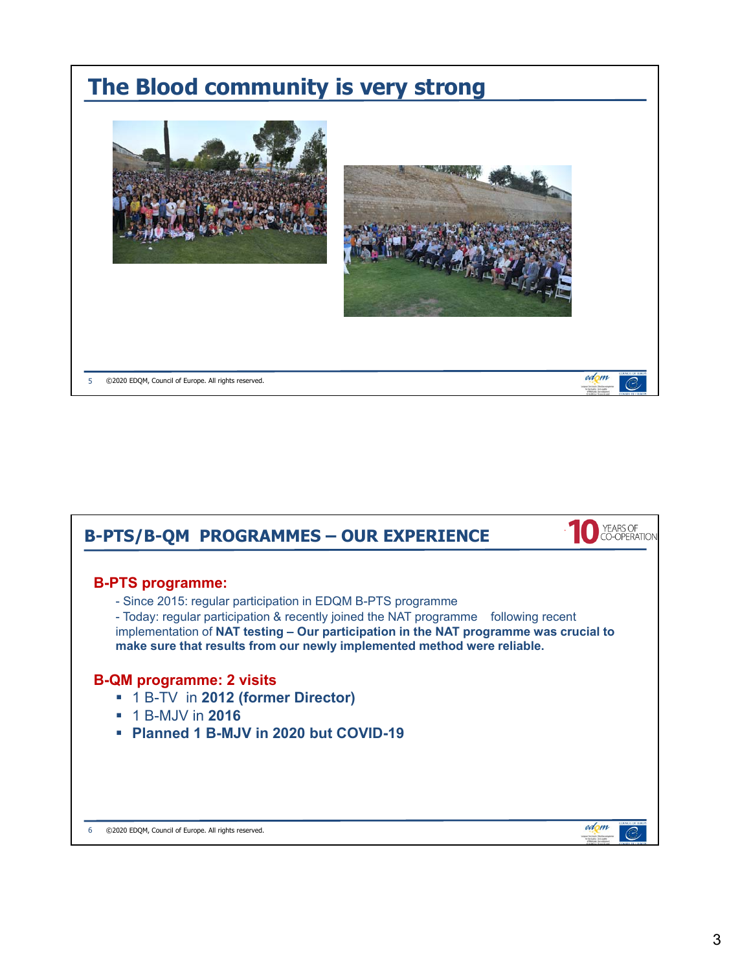

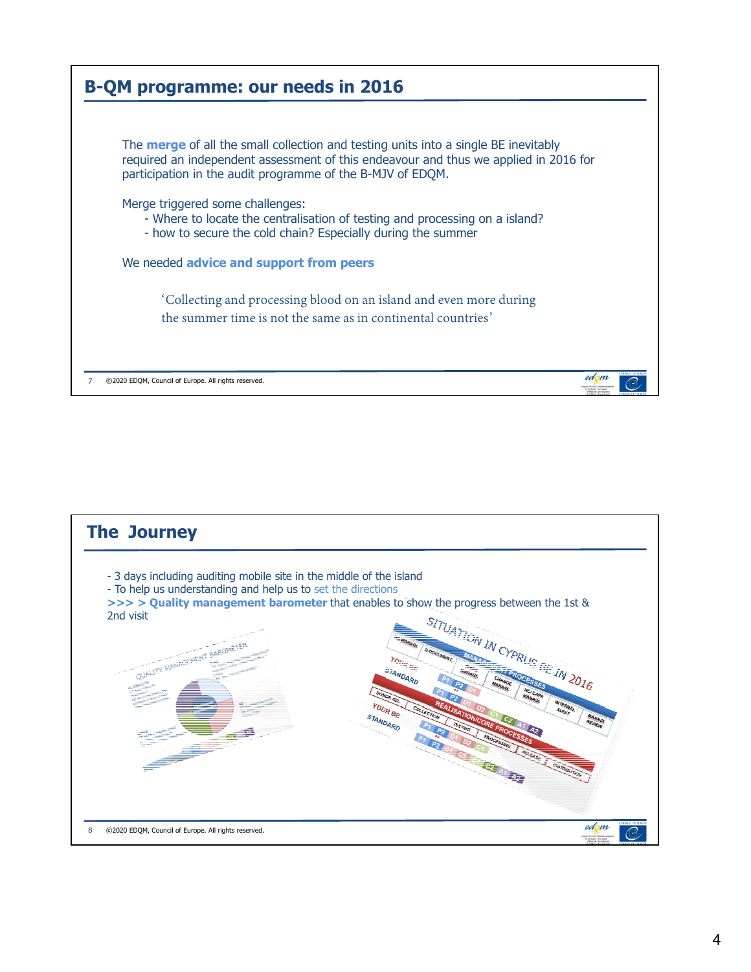